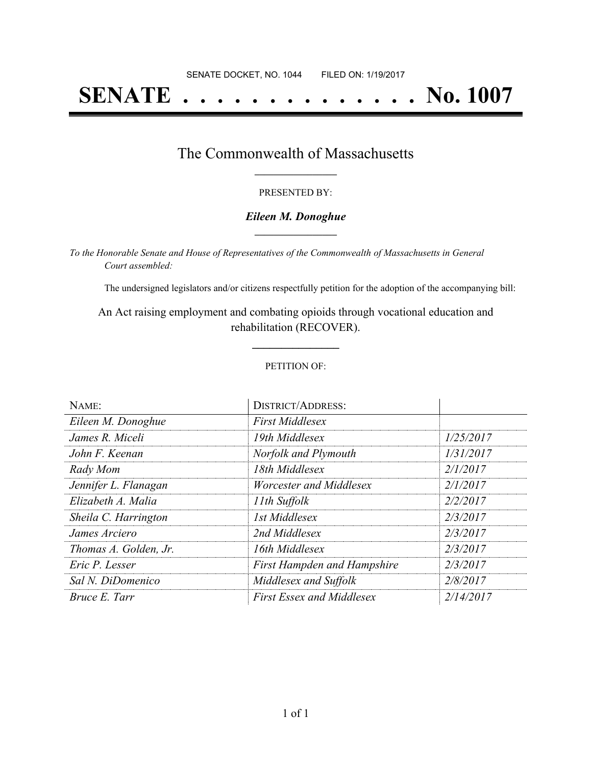# **SENATE . . . . . . . . . . . . . . No. 1007**

### The Commonwealth of Massachusetts **\_\_\_\_\_\_\_\_\_\_\_\_\_\_\_\_\_**

#### PRESENTED BY:

#### *Eileen M. Donoghue* **\_\_\_\_\_\_\_\_\_\_\_\_\_\_\_\_\_**

*To the Honorable Senate and House of Representatives of the Commonwealth of Massachusetts in General Court assembled:*

The undersigned legislators and/or citizens respectfully petition for the adoption of the accompanying bill:

An Act raising employment and combating opioids through vocational education and rehabilitation (RECOVER).

**\_\_\_\_\_\_\_\_\_\_\_\_\_\_\_**

#### PETITION OF:

| NAME:                 | <b>DISTRICT/ADDRESS:</b>           |           |
|-----------------------|------------------------------------|-----------|
| Eileen M. Donoghue    | <b>First Middlesex</b>             |           |
| James R. Miceli       | 19th Middlesex                     | 1/25/2017 |
| John F. Keenan        | Norfolk and Plymouth               | 1/31/2017 |
| Rady Mom              | 18th Middlesex                     | 2/1/2017  |
| Jennifer L. Flanagan  | Worcester and Middlesex            | 2/1/2017  |
| Elizabeth A. Malia    | 11th Suffolk                       | 2/2/2017  |
| Sheila C. Harrington  | 1st Middlesex                      | 2/3/2017  |
| James Arciero         | 2nd Middlesex                      | 2/3/2017  |
| Thomas A. Golden, Jr. | 16th Middlesex                     | 2/3/2017  |
| Eric P. Lesser        | <b>First Hampden and Hampshire</b> | 2/3/2017  |
| Sal N. DiDomenico     | Middlesex and Suffolk              | 2/8/2017  |
| Bruce E. Tarr         | <b>First Essex and Middlesex</b>   | 2/14/2017 |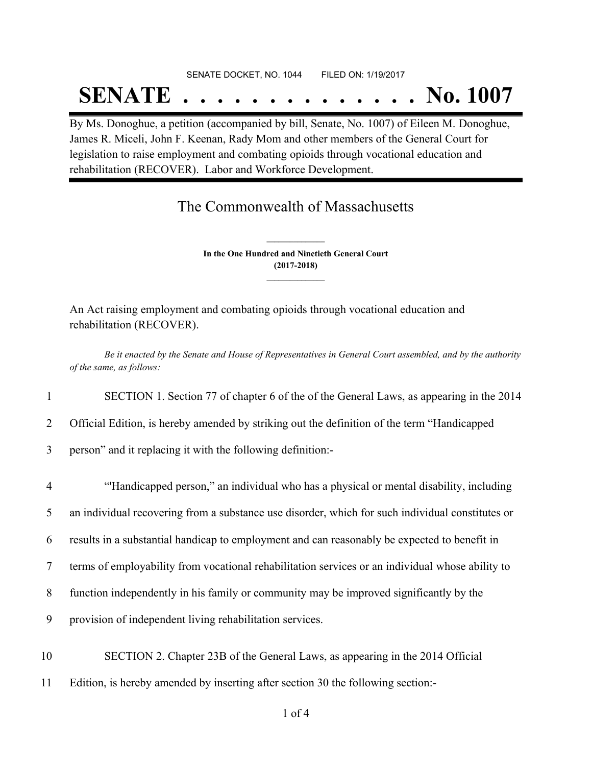## SENATE DOCKET, NO. 1044 FILED ON: 1/19/2017 **SENATE . . . . . . . . . . . . . . No. 1007**

By Ms. Donoghue, a petition (accompanied by bill, Senate, No. 1007) of Eileen M. Donoghue, James R. Miceli, John F. Keenan, Rady Mom and other members of the General Court for legislation to raise employment and combating opioids through vocational education and rehabilitation (RECOVER). Labor and Workforce Development.

## The Commonwealth of Massachusetts

**In the One Hundred and Ninetieth General Court (2017-2018) \_\_\_\_\_\_\_\_\_\_\_\_\_\_\_**

**\_\_\_\_\_\_\_\_\_\_\_\_\_\_\_**

An Act raising employment and combating opioids through vocational education and rehabilitation (RECOVER).

Be it enacted by the Senate and House of Representatives in General Court assembled, and by the authority *of the same, as follows:*

1 SECTION 1. Section 77 of chapter 6 of the of the General Laws, as appearing in the 2014

2 Official Edition, is hereby amended by striking out the definition of the term "Handicapped

3 person" and it replacing it with the following definition:-

 "'Handicapped person," an individual who has a physical or mental disability, including an individual recovering from a substance use disorder, which for such individual constitutes or results in a substantial handicap to employment and can reasonably be expected to benefit in terms of employability from vocational rehabilitation services or an individual whose ability to function independently in his family or community may be improved significantly by the provision of independent living rehabilitation services. SECTION 2. Chapter 23B of the General Laws, as appearing in the 2014 Official

11 Edition, is hereby amended by inserting after section 30 the following section:-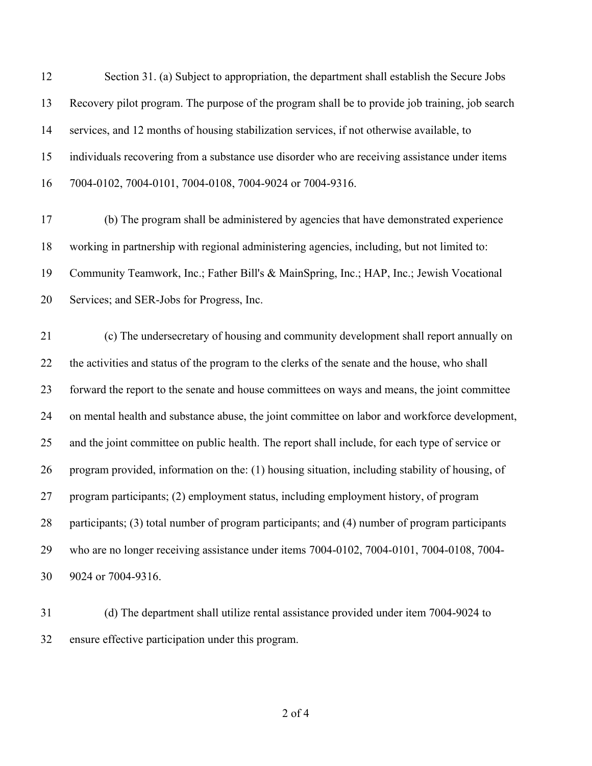Section 31. (a) Subject to appropriation, the department shall establish the Secure Jobs Recovery pilot program. The purpose of the program shall be to provide job training, job search services, and 12 months of housing stabilization services, if not otherwise available, to individuals recovering from a substance use disorder who are receiving assistance under items 7004-0102, 7004-0101, 7004-0108, 7004-9024 or 7004-9316.

 (b) The program shall be administered by agencies that have demonstrated experience working in partnership with regional administering agencies, including, but not limited to: Community Teamwork, Inc.; Father Bill's & MainSpring, Inc.; HAP, Inc.; Jewish Vocational Services; and SER-Jobs for Progress, Inc.

 (c) The undersecretary of housing and community development shall report annually on the activities and status of the program to the clerks of the senate and the house, who shall forward the report to the senate and house committees on ways and means, the joint committee on mental health and substance abuse, the joint committee on labor and workforce development, and the joint committee on public health. The report shall include, for each type of service or program provided, information on the: (1) housing situation, including stability of housing, of program participants; (2) employment status, including employment history, of program participants; (3) total number of program participants; and (4) number of program participants who are no longer receiving assistance under items 7004-0102, 7004-0101, 7004-0108, 7004- 9024 or 7004-9316.

 (d) The department shall utilize rental assistance provided under item 7004-9024 to ensure effective participation under this program.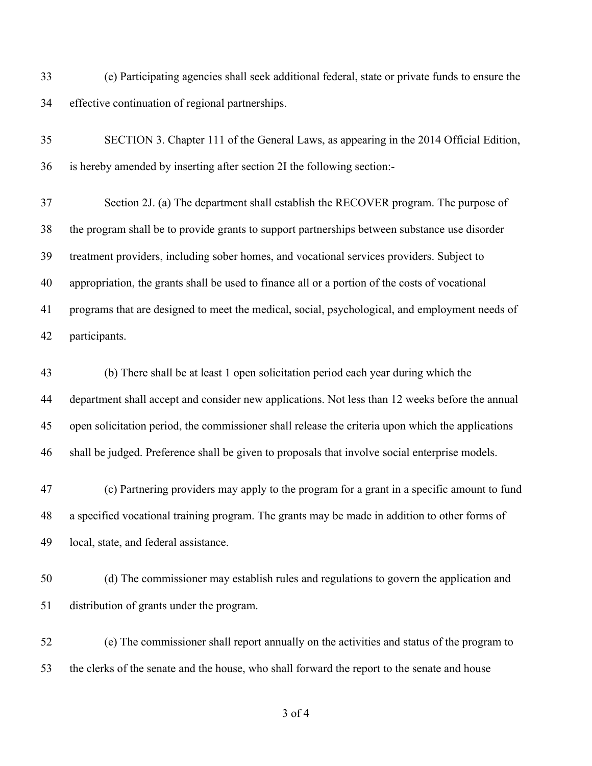(e) Participating agencies shall seek additional federal, state or private funds to ensure the effective continuation of regional partnerships.

 SECTION 3. Chapter 111 of the General Laws, as appearing in the 2014 Official Edition, is hereby amended by inserting after section 2I the following section:-

 Section 2J. (a) The department shall establish the RECOVER program. The purpose of the program shall be to provide grants to support partnerships between substance use disorder treatment providers, including sober homes, and vocational services providers. Subject to appropriation, the grants shall be used to finance all or a portion of the costs of vocational programs that are designed to meet the medical, social, psychological, and employment needs of participants.

 (b) There shall be at least 1 open solicitation period each year during which the department shall accept and consider new applications. Not less than 12 weeks before the annual open solicitation period, the commissioner shall release the criteria upon which the applications shall be judged. Preference shall be given to proposals that involve social enterprise models.

 (c) Partnering providers may apply to the program for a grant in a specific amount to fund a specified vocational training program. The grants may be made in addition to other forms of local, state, and federal assistance.

 (d) The commissioner may establish rules and regulations to govern the application and distribution of grants under the program.

 (e) The commissioner shall report annually on the activities and status of the program to the clerks of the senate and the house, who shall forward the report to the senate and house

of 4